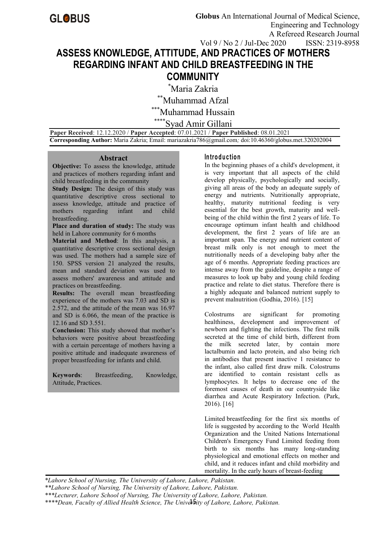# **ASSESS KNOWLEDGE, ATTITUDE, AND PRACTICES OF MOTHERS REGARDING INFANT AND CHILD BREASTFEEDING IN THE COMMUNITY**

\*Maria Zakria

 $\displaystyle{ \raisebox{0.6ex}{\scriptsize{*}}}$ Muhammad Afzal

Muhammad Hussain

Syad Amir Gillani

**Paper Received**: 12.12.2020 / **Paper Accepted**: 07.01.2021 / **Paper Published**: 08.01.2021 **Corresponding Author:** Maria Zakria;Email: [mariazakria786@gmail.com](mailto:mariazakria786@gmail.com)*;* doi:10.46360/globus.met.320202004

#### **Abstract**

**Objective:** To assess the knowledge, attitude and practices of mothers regarding infant and child breastfeeding in the community

**Study Design:** The design of this study was quantitative descriptive cross sectional to assess knowledge, attitude and practice of mothers regarding infant and child breastfeeding.

**Place and duration of study:**The study was held in Lahore community for 6 months

**Material and Method**: In this analysis, a quantitative descriptive cross sectional design was used. The mothers had a sample size of 150. SPSS version 21 analyzed the results, mean and standard deviation was used to assess mothers'awareness and attitude and practices on breastfeeding.

**Results:** The overall mean breastfeeding experience of the mothers was 7.03 and SD is 2.572, and the attitude of the mean was 16.97 and SD is 6.066, the mean of the practice is 12.16 and SD 3.551.

**Conclusion:** This study showed that mother's behaviors were positive about breastfeeding with a certain percentage of mothers having a positive attitude and inadequate awareness of proper breastfeeding for infants and child.

**Keywords**: Breastfeeding, Knowledge, Attitude, Practices.

#### **In tro d u c tio n**

In the beginning phases of a child's development, it is very important that all aspects of the child develop physically, psychologically and socially, giving all areas of the body an adequate supply of energy and nutrients. Nutritionally appropriate, healthy, maturity nutritional feeding is very essential for the best growth, maturity and well being of the child within the first 2 years of life. To encourage optimum infant health and childhood development, the first 2 years of life are an important span. The energy and nutrient content of breast milk only is not enough to meet the nutritionally needs of a developing baby after the age of 6 months. Appropriate feeding practices are intense away from the guideline, despite a range of measures to look up baby and young child feeding practice and relate to diet status. Therefore there is a highly adequate and balanced nutrient supply to prevent malnutrition (Godhia, 2016). [15]

Colostrums are significant for promoting healthiness, development and improvement of newborn and fighting the infections. The first milk secreted at the time of child birth, different from the milk secreted later, by contain more lactalbumin and lacto protein, and also being rich in antibodies that present inactive 1 resistance to the infant, also called first draw milk. Colostrums are identified to contain resistant cells as lymphocytes. It helps to decrease one of the foremost causes of death in our countryside like diarrhea and Acute Respiratory Infection. (Park, 2016). [16]

Limited breastfeeding for the first six months of life is suggested by according to the World Health Organization and the United Nations International Children's Emergency Fund Limited feeding from birth to six months has many long-standing physiological and emotional effects on mother and child, and it reduces infant and child morbidity and mortality. In the early hours of breast-feeding

*\*Lahore School of Nursing, The University of Lahore, Lahore, Pakistan.*

*\*\*Lahore School of Nursing, The University of Lahore, Lahore, Pakistan.*

*\*\*\*Lecturer, Lahore School of Nursing, The University of Lahore, Lahore, Pakistan.*

15 *\*\*\*\*Dean, Faculty of Allied Health Science, The University of Lahore, Lahore, Pakistan.*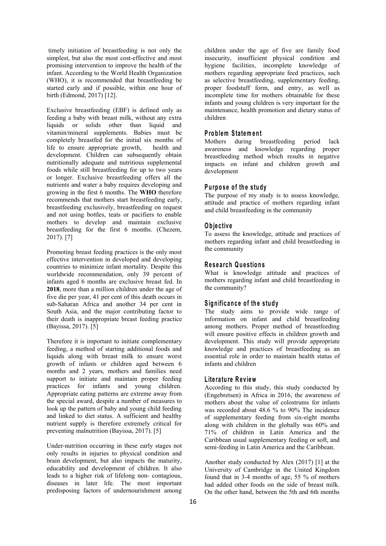timely initiation of breastfeeding is not only the simplest, but also the most cost-effective and most promising intervention to improve the health of the infant. According to the World Health Organization (WHO), it is recommended that breastfeeding be started early and if possible, within one hour of birth (Edmond, 2017) [12].

Exclusive breastfeeding (EBF) is defined only as feeding a baby with breast milk, without any extra liquids or solids other than liquid and vitamin/mineral supplements. Babies must be completely breastfed for the initial six months of life to ensure appropriate growth, health and development. Children can subsequently obtain nutritionally adequate and nutritious supplemental foods while still breastfeeding for up to two years or longer. Exclusive breastfeeding offers all the nutrients and water a baby requires developing and growing in the first 6 months. The **WHO** therefore recommends that mothers start breastfeeding early, breastfeeding exclusively, breastfeeding on request and not using bottles, teats or pacifiers to enable mothers to develop and maintain exclusive breastfeeding for the first 6 months. (Chezem, 2017). [7]

Promoting breast feeding practices is the only most effective intervention in developed and developing countries to minimize infant mortality. Despite this worldwide recommendation, only 39 percent of infants aged 6 months are exclusive breast fed. In **2018**, more than a million children under the age of five die per year, 41 per cent of this death occurs in sub-Saharan Africa and another 34 per cent in South Asia, and the major contributing factor to their death is inappropriate breast feeding practice (Bayissa, 2017). [5]

Therefore it is important to initiate complementary feeding, a method of starting additional foods and liquids along with breast milk to ensure worst growth of infants or children aged between 6 months and 2 years, mothers and families need support to initiate and maintain proper feeding<br>practices for infants and young children. Appropriate eating patterns are extreme away from the special award, despite a number of measures to look up the pattern of baby and young child feeding and linked to diet status. A sufficient and healthy nutrient supply is therefore extremely critical for preventing malnutrition (Bayissa, 2017). [5]

Under-nutrition occurring in these early stages not only results in injuries to physical condition and brain development, but also impacts the maturity, educability and development of children. It also leads to a higher risk of lifelong non- contagious, diseases in later life. The most important predisposing factors of undernourishment among children under the age of five are family food insecurity, insufficient physical condition and hygiene facilities, incomplete knowledge of mothers regarding appropriate feed practices, such as selective breastfeeding, supplementary feeding, proper foodstuff form, and entry, as well as incomplete time for mothers obtainable for these infants and young children is very important for the maintenance, health promotion and dietary status of children

#### **P ro b lem Sta tem en t**

Mothers during breastfeeding period lack awareness and knowledge regarding proper breastfeeding method which results in negative impacts on infant and children growth and development

#### **P u rp o s eo f th e stu d y**

The purpose of my study is to assess knowledge, attitude and practice of mothers regarding infant and child breastfeeding in the community

#### **O b je c tiv e**

To assess the knowledge, attitude and practices of mothers regarding infant and child breastfeeding in the community

#### **R e s e a rch Q u e stio n s**

What is knowledge attitude and practices of mothers regarding infant and child breastfeeding in the community?

#### **S ig n ific an c e o fth e stu d y**

The study aims to provide wide range of information on infant and child breastfeeding among mothers. Proper method of breastfeeding will ensure positive effects in children growth and development. This study will provide appropriate knowledge and practices of breastfeeding as an essential role in order to maintain health status of infants and children

#### **L ite ra tu re R e v iew**

According to this study, this study conducted by (Engebretsen) in Africa in 2016, the awareness of mothers about the value of colostrums for infants was recorded about 48.6 % to 90% The incidence of supplementary feeding from six-eight months along with children in the globally was 60% and 71% of children in Latin America and the Caribbean usual supplementary feeding or soft, and semi-feeding in Latin America and the Caribbean.

Another study conducted by Alex  $(2017)$  [1] at the University of Cambridge in the United Kingdom found that in 3-4 months of age, 55 % of mothers had added other foods on the side of breast milk. On the other hand, between the 5th and 6th months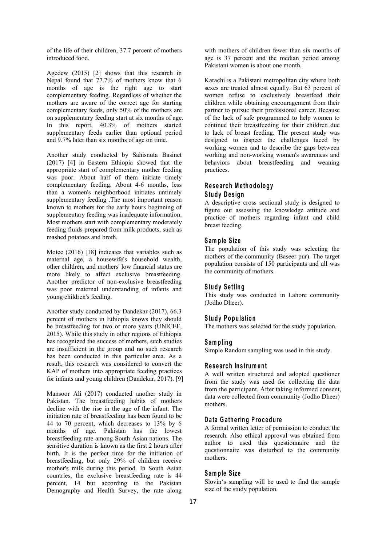of the life of their children, 37.7 percent of mothers introduced food.

Agedew (2015) [2] shows that this research in Nepal found that 77.7% of mothers know that 6 months of age is the right age to start complementary feeding. Regardless of whether the mothers are aware of the correct age for starting complementary feeds, only 50% of the mothers are on supplementary feeding start at six months of age. In this report, 40.3% of mothers started supplementary feeds earlier than optional period and 9.7% later than six months of age on time.

Another study conducted by Sahisnuta Basinet (2017) [4] in Eastern Ethiopia showed that the appropriate start of complementary mother feeding was poor. About half of them initiate timely complementary feeding. About 4-6 months, less than a women's neighborhood initiates untimely supplementary feeding .The most important reason known to mothers for the early hours beginning of supplementary feeding was inadequate information. Most mothers start with complementary moderately feeding fluids prepared from milk products, such as mashed potatoes and broth.

Motee (2016) [18] indicates that variables such as maternal age, a housewife's household wealth, other children, and mothers' low financial status are more likely to affect exclusive breastfeeding. Another predictor of non-exclusive breastfeeding was poor maternal understanding of infants and young children's feeding.

Another study conducted by Dandekar (2017), 66.3 percent of mothers in Ethiopia knows they should be breastfeeding for two or more years (UNICEF, 2015). While this study in other regions of Ethiopia has recognized the success of mothers, such studies are insufficient in the group and no such research has been conducted in this particular area. As a result, this research was considered to convert the KAP of mothers into appropriate feeding practices for infants and young children (Dandekar, 2017). [9]

Mansoor Ali (2017) conducted another study in Pakistan. The breastfeeding habits of mothers decline with the rise in the age of the infant. The initiation rate of breastfeeding has been found to be 44 to 70 percent, which decreases to 13% by 6 months of age. Pakistan has the lowest breastfeeding rate among South Asian nations. The sensitive duration is known as the first 2 hours after birth. It is the perfect time for the initiation of breastfeeding, but only 29% of children receive mother's milk during this period. In South Asian countries, the exclusive breastfeeding rate is 44 percent, 14 but according to the Pakistan Demography and Health Survey, the rate along

with mothers of children fewer than six months of age is 37 percent and the median period among Pakistani women is about one month.

Karachi is a Pakistani metropolitan city where both sexes are treated almost equally. But 63 percent of women refuse to exclusively breastfeed their children while obtaining encouragement from their partner to pursue their professional career. Because of the lack of safe programmed to help women to continue their breastfeeding for their children due to lack of breast feeding. The present study was designed to inspect the challenges faced by working women and to describe the gaps between working and non-working women's awareness and behaviors about breastfeeding and weaning practices.

#### **R e s e a rch M e th o d o lo g y**  $S$  **tudy** Design

A descriptive cross sectional study is designed to figure out assessing the knowledge attitude and practice of mothers regarding infant and child breast feeding.

#### **S am p le Size**

The population of this study was selecting the mothers of the community (Baseer pur). The target population consists of 150 participants and all was the community of mothers.

#### **Study Setting**

This study was conducted in Lahore community (Jodho Dheer).

#### **Study Population**

The mothers was selected for the study population.

#### **S am p lin g**

Simple Random sampling was used in this study.

#### **R e s e a rch In s trum en t**

A well written structured and adopted questioner from the study was used for collecting the data from the participant. After taking informed consent, data were collected from community (Jodho Dheer) mothers.

#### **D a ta G a th e rin g P ro c ed u re**

A formal written letter of permission to conduct the research. Also ethical approval was obtained from author to used this questionnaire and the questionnaire was disturbed to the community mothers.

#### **S am p le Size**

Slovin's sampling will be used to find the sample size of the study population.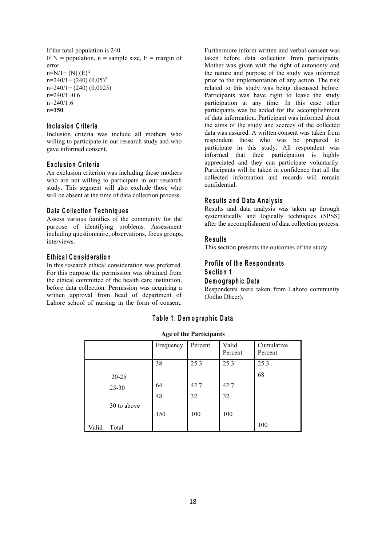If the total population is 240. If  $N =$  population,  $n =$  sample size,  $E =$  margin of error  $n=N/1+(N)$  (E)<sup>2</sup> 2  $n=240/1+(240)(0.05)^2$ 2 n=240/1+ (240) (0.0025)  $n=240/1+0.6$  $n=240/1.6$ n=**150**

#### **In c lu s io n C rite ria**

Inclusion criteria was include all mothers who willing to participate in our research study and who gave informed consent.

#### **E x c lu s io n C rite ria**

An exclusion criterion was including those mothers who are not willing to participate in our research study. This segment will also exclude those who will be absent at the time of data collection process.

#### **D a ta C o llec tio n T e ch n iq u e s**

Assess various families of the community for the purpose of identifying problems. Assessment including questionnaire, observations, focus groups, interviews.

#### **E th ic a l C o n s id e ra tio n**

In this research ethical consideration was preferred. For this purpose the permission was obtained from the ethical committee of the health care institution, before data collection. Permission was acquiring a written approval from head of department of Lahore school of nursing in the form of consent.

Furthermore inform written and verbal consent was taken before data collection from participants. Mother was given with the right of autonomy and the nature and purpose of the study was informed prior to the implementation of any action. The risk related to this study was being discussed before. Participants was have right to leave the study participation at any time. In this case other participants was be added for the accomplishment of data information. Participant was informed about the aims of the study and secrecy of the collected data was assured. A written consent was taken from respondent those who was be prepared to participate in this study. All respondent was informed that their participation is highly appreciated and they can participate voluntarily. Participants will be taken in confidence that all the collected information and records will remain confidential.

#### **R e su lts an d D a ta A n a ly s is**

Results and data analysis was taken up through systematically and logically techniques (SPSS) after the accomplishment of data collection process.

#### **R e su lts**

This section presents the outcomes of the study.

#### **P ro file o f th e R e sp o n d en ts S e c tio n 1 D em og rap h ic D a ta**

Respondents were taken from Lahore community (Jodho Dheer).

### **T ab le 1 : D em o g rap h ic D a ta**

#### **Age of the Participants**

|       |             | Frequency | Percent | Valid<br>Percent | Cumulative<br>Percent |
|-------|-------------|-----------|---------|------------------|-----------------------|
|       |             | 38        | 25.3    | 25.3             | 25.3                  |
|       | $20 - 25$   |           |         |                  | 68                    |
|       | $25 - 30$   | 64        | 42.7    | 42.7             |                       |
|       |             | 48        | 32      | 32               |                       |
|       | 30 to above |           |         |                  |                       |
|       |             | 150       | 100     | 100              |                       |
| Valid | Total       |           |         |                  | 100                   |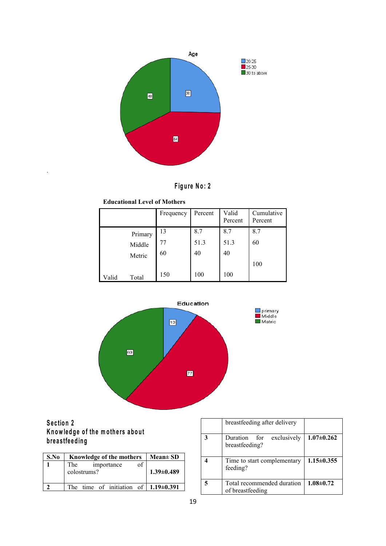



#### **Educational Level of Mothers**

|       |         | Frequency | Percent | Valid<br>Percent | Cumulative<br>Percent |
|-------|---------|-----------|---------|------------------|-----------------------|
|       | Primary | 13        | 8.7     | 8.7              | 8.7                   |
|       | Middle  | 77        | 51.3    | 51.3             | 60                    |
|       | Metric  | 60        | 40      | 40               |                       |
|       |         |           |         |                  | 100                   |
| Valid | Total   | 150       | 100     | 100              |                       |



# **S e c tio n 2 K** now ledge of the mothers about  $\qquad \qquad \qquad \qquad$ **b re a s tfe ed in g**

.

| S.No | Knowledge of the mothers                               | $Mean \pm SD$    |  | Time to start co                   |
|------|--------------------------------------------------------|------------------|--|------------------------------------|
|      | of<br>The<br>importance<br>colostrums?                 | $1.39 \pm 0.489$ |  | feeding?                           |
|      | The time of initiation of $\vert 1.19 \pm 0.391 \vert$ |                  |  | Total recommer<br>of breastfeeding |

|   | breastfeeding after delivery                   |                  |
|---|------------------------------------------------|------------------|
| 3 | Duration for exclusively<br>breastfeeding?     | $1.07 \pm 0.262$ |
|   | Time to start complementary<br>feeding?        | $1.15 \pm 0.355$ |
| 5 | Total recommended duration<br>of breastfeeding | $1.08 \pm 0.72$  |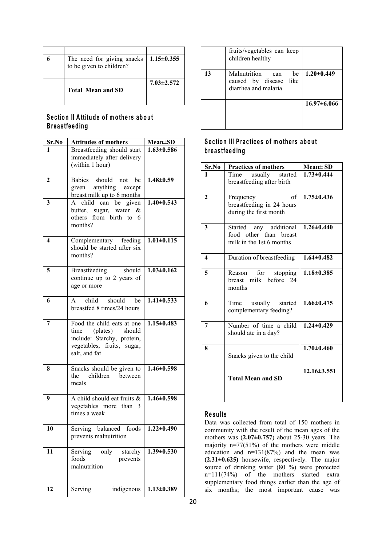| <b>Total Mean and SD</b>                               | $7.03 \pm 2.572$       |  |
|--------------------------------------------------------|------------------------|--|
| The need for giving snacks<br>to be given to children? | $\perp 1.15 \pm 0.355$ |  |
|                                                        |                        |  |

# **S e c tio n II A ttitu d e o f m o th e rs ab o u t B re a s tfe ed in g**

| Sr.No                   | <b>Attitudes of mothers</b>                                                                            | $Mean \pm SD$    |                         | Section III Practices of mothers about                                                                                                                                                                                                                 |                   |
|-------------------------|--------------------------------------------------------------------------------------------------------|------------------|-------------------------|--------------------------------------------------------------------------------------------------------------------------------------------------------------------------------------------------------------------------------------------------------|-------------------|
| $\mathbf{1}$            | Breastfeeding should start<br>immediately after delivery                                               | $1.63 \pm 0.586$ |                         | breastfeeding                                                                                                                                                                                                                                          |                   |
|                         | (within 1 hour)                                                                                        |                  | Sr.No                   | <b>Practices of mothers</b>                                                                                                                                                                                                                            | $Mean \pm SD$     |
| $\overline{2}$          | Babies should not be<br>anything except<br>given                                                       | $1.48 \pm 0.59$  | $\mathbf{1}$            | Time<br>usually<br>started<br>breastfeeding after birth                                                                                                                                                                                                | $1.73 \pm 0.444$  |
| $\mathbf{3}$            | breast milk up to 6 months<br>A child can be given<br>butter, sugar, water &<br>others from birth to 6 | $1.40 \pm 0.543$ | $\overline{2}$          | of<br>Frequency<br>breastfeeding in 24 hours<br>during the first month                                                                                                                                                                                 | $1.75 \pm 0.436$  |
| $\overline{\mathbf{4}}$ | months?<br>Complementary feeding<br>should be started after six                                        | $1.01 \pm 0.115$ | $\overline{\mathbf{3}}$ | any additional<br>Started<br>food other than breast<br>milk in the 1st 6 months                                                                                                                                                                        | $1.26 \pm 0.440$  |
|                         | months?                                                                                                |                  | $\overline{\mathbf{4}}$ | Duration of breastfeeding                                                                                                                                                                                                                              | $1.64 \pm 0.482$  |
| 5                       | Breastfeeding<br>should<br>continue up to 2 years of<br>age or more                                    | $1.03 \pm 0.162$ | 5                       | Reason<br>for<br>stopping<br>breast milk before 24<br>months                                                                                                                                                                                           | $1.18 \pm 0.385$  |
| 6                       | should<br>child<br>be<br>A<br>breastfed 8 times/24 hours                                               | $1.41 \pm 0.533$ | 6                       | Time<br>usually<br>started<br>complementary feeding?                                                                                                                                                                                                   | $1.66 \pm 0.475$  |
| $\overline{7}$          | Food the child eats at one<br>(plates)<br>should<br>time<br>include: Starchy, protein,                 | $1.15 \pm 0.483$ | $\overline{7}$          | Number of time a child<br>should ate in a day?                                                                                                                                                                                                         | $1.24 \pm 0.429$  |
|                         | vegetables, fruits, sugar,<br>salt, and fat                                                            |                  | 8                       | Snacks given to the child                                                                                                                                                                                                                              | $1.70 \pm 0.460$  |
| $\bf{8}$                | Snacks should be given to<br>children<br>the<br>between<br>meals                                       | $1.46 \pm 0.598$ |                         | <b>Total Mean and SD</b>                                                                                                                                                                                                                               | $12.16 \pm 3.551$ |
| $\boldsymbol{9}$        | A child should eat fruits &<br>vegetables more than 3<br>times a weak                                  | $1.46 \pm 0.598$ | <b>Results</b>          | Data was collected from total of 150 mothers in                                                                                                                                                                                                        |                   |
| <b>10</b>               | Serving balanced foods   $1.22 \pm 0.490$<br>prevents malnutrition                                     |                  |                         | community with the result of the mean ages of the<br>mothers was $(2.07\pm0.757)$ about 25-30 years. The<br>majority $n=77(51%)$ of the mothers were middle                                                                                            |                   |
| 11                      | Serving<br>only<br>starchy<br>foods<br>prevents<br>malnutrition                                        | $1.39 \pm 0.530$ |                         | education and $n=131(87%)$ and the mean was<br>$(2.31\pm0.625)$ housewife, respectively. The major<br>source of drinking water (80 %) were protected<br>$n=111(74%)$ of the mothers started extra<br>supplementary food things earlier than the age of |                   |
| 12                      | Serving<br>indigenous                                                                                  | $1.13 \pm 0.389$ |                         | six months; the most important cause was                                                                                                                                                                                                               |                   |

# **1.63±0.586 b re a s tfe ed in g**

|                  | Sr.No                   | <b>Practices of mothers</b>                                                     | Mean± SD          |
|------------------|-------------------------|---------------------------------------------------------------------------------|-------------------|
| $1.48 \pm 0.59$  | 1                       | Time<br>usually<br>started<br>breastfeeding after birth                         | $1.73 \pm 0.444$  |
| $1.40 \pm 0.543$ | $\mathbf{2}$            | of<br>Frequency<br>breastfeeding in 24 hours<br>during the first month          | $1.75 \pm 0.436$  |
| $1.01 \pm 0.115$ | $\overline{\mathbf{3}}$ | any additional<br>Started<br>food other than breast<br>milk in the 1st 6 months | $1.26 \pm 0.440$  |
|                  | $\overline{\mathbf{4}}$ | Duration of breastfeeding                                                       | $1.64 \pm 0.482$  |
| $1.03 \pm 0.162$ | 5                       | for<br>Reason<br>stopping<br>breast milk before 24<br>months                    | $1.18 \pm 0.385$  |
| $1.41 \pm 0.533$ | 6                       | Time<br>usually<br>started<br>complementary feeding?                            | $1.66 \pm 0.475$  |
| $1.15 \pm 0.483$ | $\overline{7}$          | Number of time a child<br>should ate in a day?                                  | $1.24 \pm 0.429$  |
|                  | 8                       | Snacks given to the child                                                       | $1.70 \pm 0.460$  |
| $1.46 \pm 0.598$ |                         | <b>Total Mean and SD</b>                                                        | $12.16 \pm 3.551$ |
| $1.46 + 0.598$   |                         |                                                                                 |                   |

#### **R e su lts**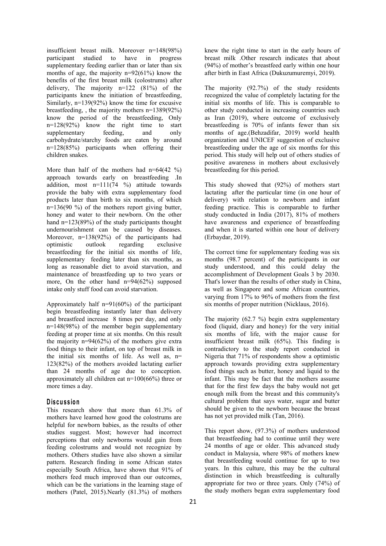insufficient breast milk. Moreover n=148(98%) participant studied to have in progress supplementary feeding earlier than or later than six months of age, the majority  $n=92(61%)$  know the benefits of the first breast milk (colostrums) after delivery, The majority n=122 (81%) of the participants knew the initiation of breastfeeding, Similarly, n=139(92%) know the time for excusive breastfeeding, , the majority mothers n=1389(92%) know the period of the breastfeeding, Only n=128(92%) know the right time to start supplementary feeding, and only months of age.(Behzadifar, 2019) world health carbohydrate/starchy foods are eaten by around n=128(85%) participants when offering their children snakes.

More than half of the mothers had  $n=64(42 \%)$ approach towards early on breastfeeding .In addition, most  $n=111(74 \%)$  attitude towards provide the baby with extra supplementary food products later than birth to six months, of which  $n=136(90\%)$  of the mothers report giving butter, honey and water to their newborn. On the other hand n=123(89%) of the study participants thought undernourishment can be caused by diseases. Moreover, n=138(92%) of the participants had optimistic outlook regarding exclusive breastfeeding for the initial six months of life, supplementary feeding later than six months, as long as reasonable diet to avoid starvation, and maintenance of breastfeeding up to two years or more, On the other hand n=94(62%) supposed intake only stuff food can avoid starvation.

Approximately half n=91(60%) of the participant begin breastfeeding instantly later than delivery and breastfeed increase 8 times per day, and only n=148(98%) of the member begin supplementary feeding at proper time at six months. On this result the majority  $n=94(62%)$  of the mothers give extra food things to their infant, on top of breast milk in the initial six months of life. As well as,  $n=$ 123(82%) of the mothers avoided lactating earlier than 24 months of age due to conception. approximately all children eat n=100(66%) three or more times a day.

#### **D is cu s s io n**

This research show that more than 61.3% of mothers have learned how good the colostrums are helpful for newborn babies, as the results of other studies suggest. Most; however had incorrect perceptions that only newborns would gain from feeding colostrums and would not recognize by mothers. Others studies have also shown a similar pattern. Research finding in some African states especially South Africa, have shown that 91% of mothers feed much improved than our outcomes, which can be the variations in the learning stage of mothers (Patel, 2015).Nearly (81.3%) of mothers

knew the right time to start in the early hours of breast milk .Other research indicates that about (94%) of mother's breastfeed early within one hour after birth in East Africa (Dukuzumuremyi, 2019).

The majority (92.7%) of the study residents recognized the value of completely lactating for the initial six months of life. This is comparable to other study conducted in increasing countries such as Iran (2019), where outcome of exclusively breastfeeding is 70% of infants fewer than six organization and UNICEF suggestion of exclusive breastfeeding under the age of six months for this period. This study will help out of others studies of positive awareness in mothers about exclusively breastfeeding for this period.

This study showed that (92%) of mothers start lactating after the particular time (in one hour of delivery) with relation to newborn and infant feeding practice. This is comparable to further study conducted in India (2017), 81% of mothers have awareness and experience of breastfeeding and when it is started within one hour of delivery (Erbaydar, 2019).

The correct time for supplementary feeding was six months (98.7 percent) of the participants in our study understood, and this could delay the accomplishment of Development Goals 3 by 2030. That's lower than the results of other study in China, as well as Singapore and some African countries, varying from 17% to 96% of mothers from the first six months of proper nutrition (Nicklaus, 2016).

The majority (62.7 %) begin extra supplementary food (liquid, diary and honey) for the very initial six months of life, with the major cause for insufficient breast milk (65%). This finding is contradictory to the study report conducted in Nigeria that 71% of respondents show a optimistic approach towards providing extra supplementary food things such as butter, honey and liquid to the infant. This may be fact that the mothers assume that for the first few days the baby would not get enough milk from the breast and this community's cultural problem that says water, sugar and butter should be given to the newborn because the breast has not yet provided milk (Tan, 2016).

This report show, (97.3%) of mothers understood that breastfeeding had to continue until they were 24 months of age or older. This advanced study conduct in Malaysia, where 98% of mothers knew that breastfeeding would continue for up to two years. In this culture, this may be the cultural distinction in which breastfeeding is culturally appropriate for two or three years. Only (74%) of the study mothers began extra supplementary food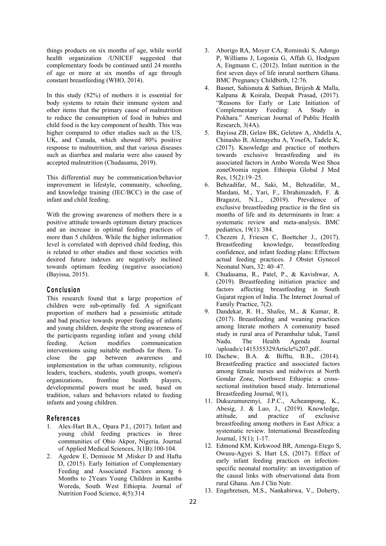things products on six months of age, while world health organization /UNICEF suggested that complementary foods be continued until 24 months of age or more at six months of age through constant breastfeeding (WHO, 2014).

In this study (82%) of mothers it is essential for body systems to retain their immune system and other items that the primary cause of malnutrition to reduce the consumption of food in babies and child food is the key component of health. This was higher compared to other studies such as the US,  $\qquad 5.$ UK, and Canada, which showed 80% positive response to malnutrition, and that various diseases such as diarrhea and malaria were also caused by accepted malnutrition (Chudasama, 2019).

This differential may be communication/behavior improvement in lifestyle, community, schooling, 6. and knowledge training (IEC/BCC) in the case of infant and child feeding.

With the growing awareness of mothers there is a positive attitude towards optimum dietary practices and an increase in optimal feeding practices of more than 5 children. While the higher information level is correlated with deprived child feeding, this is related to other studies and those societies with desired future indexes are negatively inclined towards optimum feeding (negative association) (Bayissa, 2015).

#### **C o n c lu sio n**

This research found that a large proportion of children were sub-optimally fed. A significant<br>proportion of mothers had a pessimistic attitude proportion of mothers had a pessimistic attitude and bad practice towards proper feeding of infants and young children, despite the strong awareness of the participants regarding infant and young child study in rural<br>feeding Action modifies communication Nadu. The feeding. Action modifies communication interventions using suitable methods for them. To close the gap between awareness and implementation in the urban community, religious leaders, teachers, students, youth groups, women's organizations, frontline health players, developmental powers must be used, based on tradition, values and behaviors related to feeding infants and young children.

#### **R e fe ren c e s**

- 1. Alex-Hart B.A., Opara P.I., (2017). Infant and young child feeding practices in three communities of Obio Akpor, Nigeria. Journal of Applied Medical Sciences, 3(1B):100-104.
- 2. Agedew E, Demissie M , Misker D and Haftu D, (2015). Early Initiation of Complementary Feeding and Associated Factors among 6 Months to 2Years Young Children in Kamba Woreda, South West Ethiopia. Journal of Nutrition Food Science, 4(5):314
- 3. Aborigo RA, Moyer CA, Rominski S, Adongo P, Williams J, Logonia G, Affah G, Hodgson A, Engmann C, (2012). Infant nutrition in the first seven days of life inrural northern Ghana. BMC Pregnancy Childbirth, 12:76.
- 4. Basnet, Sahisnuta & Sathian, Brijesh & Malla, Kalpana & Koirala, Deepak Prasad, (2017). "Reasons for Early or Late Initiation of Complementary Feeding: A Study in Pokhara." American Journal of Public Health Research, 3(4A).
- 5. Bayissa ZB, Gelaw BK, Geletaw A, Abdella A, Chinasho B, Alemayehu A, YosefA, Tadele K, (2017). Knowledge and practice of mothers towards exclusive breastfeeding and its associated factors in Ambo Woreda West Shoa zoneOromia region. Ethiopia Global J Med Res, 15(2):19–25.
- 6. Behzadifar, M., Saki, M., Behzadifar, M., Mardani, M., Yari, F., Ebrahimzadeh, F. & Bragazzi, N.L., (2019). Prevalence of exclusive breastfeeding practice in the first six months of life and its determinants in Iran: a systematic review and meta-analysis. BMC pediatrics, 19(1): 384.
- 7. Chezem J, Friesen C, Boettcher J., (2017). Breastfeeding knowledge, breastfeeding confidence, and infant feeding plans: Effectson actual feeding practices. J Obstet Gynecol Neonatal Nurs, 32: 40–47.
- 8. Chudasama, R., Patel, P., & Kavishwar, A. (2019). Breastfeeding initiation practice and factors affecting breastfeeding in South Gujarat region of India. The Internet Journal of Family Practice, 7(2).
- 9. Dandekar, R. H., Shafee, M., & Kumar, R. (2017). Breastfeeding and weaning practices among literate mothers A community based study in rural area of Perambalur taluk, Tamil Health Agenda Journal /uploads/c1415355329Article%207.pdf..
- 10. Dachew, B.A. & Bifftu, B.B., (2014). Breastfeeding practice and associated factors among female nurses and midwives at North Gondar Zone, Northwest Ethiopia: a cross sectional institution based study. International Breastfeeding Journal, 9(1),
- 11. Dukuzumuremyi, J.P.C., Acheampong, K., Abesig, J. & Luo, J., (2019). Knowledge, attitude, and practice of exclusive breastfeeding among mothers in East Africa: a systematic review. International Breastfeeding Journal, 15(1); 1-17.
- 12. Edmond KM, Kirkwood BR, Amenga-Etego S, Owusu-Agyei S, Hurt LS, (2017). Effect of early infant feeding practices on infection specific neonatal mortality: an investigation of the causal links with observational data from rural Ghana. Am J Clin Nutr.
- 13. Engebretsen, M.S., Nankabirwa, V., Doherty,